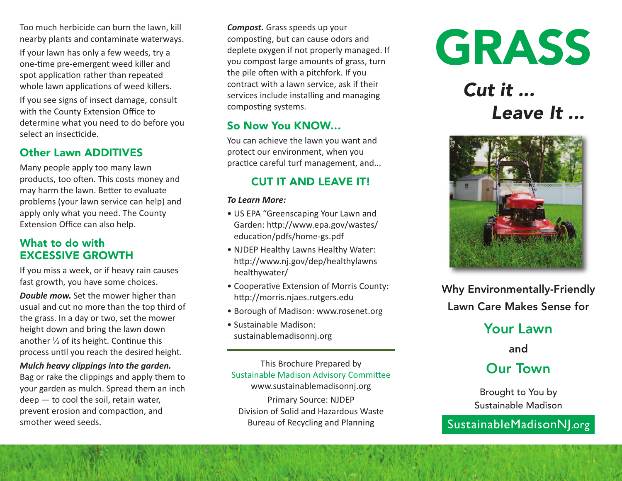Too much herbicide can burn the lawn, kill nearby plants and contaminate waterways.

If your lawn has only a few weeds, try a one-time pre-emergent weed killer and spot application rather than repeated whole lawn applications of weed killers.

If you see signs of insect damage, consult with the County Extension Office to determine what you need to do before you select an insecticide.

# Other Lawn ADDITIVES

Many people apply too many lawn products, too often. This costs money and may harm the lawn. Better to evaluate problems (your lawn service can help) and apply only what you need. The County Extension Office can also help.

### What to do with EXCESSIVE GROWTH

If you miss a week, or if heavy rain causes fast growth, you have some choices.

*Double mow.* Set the mower higher than usual and cut no more than the top third of the grass. In a day or two, set the mower height down and bring the lawn down another  $\frac{1}{3}$  of its height. Continue this process until you reach the desired height.

#### *Mulch heavy clippings into the garden.*

Bag or rake the clippings and apply them to your garden as mulch. Spread them an inch deep — to cool the soil, retain water, prevent erosion and compaction, and smother weed seeds.

*Compost.* Grass speeds up your composting, but can cause odors and deplete oxygen if not properly managed. If you compost large amounts of grass, turn the pile often with a pitchfork. If you contract with a lawn service, ask if their services include installing and managing composting systems.

# So Now You KNOW…

You can achieve the lawn you want and protect our environment, when you practice careful turf management, and...

# CUT IT AND LEAVE IT!

#### *To Learn More:*

- US EPA "Greenscaping Your Lawn and Garden: http://www.epa.gov/wastes/ education/pdfs/home-gs.pdf
- NJDEP Healthy Lawns Healthy Water: http://www.nj.gov/dep/healthylawns healthywater/
- Cooperative Extension of Morris County: http://morris.njaes.rutgers.edu
- Borough of Madison: www.rosenet.org
- Sustainable Madison: sustainablemadisonnj.org

This Brochure Prepared by Sustainable Madison Advisory Committee www.sustainablemadisonnj.org Primary Source: NJDEP Division of Solid and Hazardous Waste Bureau of Recycling and Planning



# *Cut it ... Leave It ...*



Why Environmentally-Friendly Lawn Care Makes Sense for

# Your Lawn

and

# Our Town

Brought to You by Sustainable Madison

sustainablemadisonnj.org SustainableMadisonNJ.org